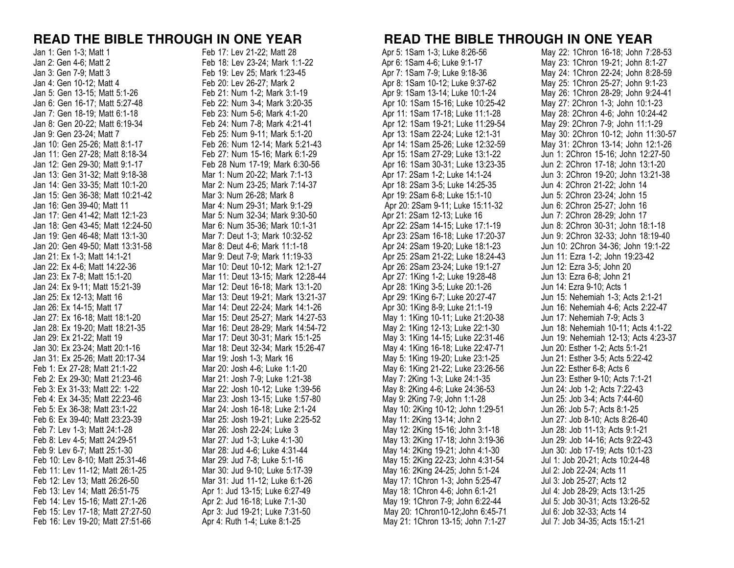| Jan 1: Gen 1-3; Matt 1                                               |
|----------------------------------------------------------------------|
| Jan 2: Gen 4-6; Matt 2                                               |
| Jan 3: Gen 7-9; Matt 3                                               |
| Jan 4: Gen 10-12; Matt 4                                             |
| Jan 5: Gen 13-15; Matt 5:1-26                                        |
| Jan 6: Gen 16-17; Matt 5:27-48                                       |
| Jan 7: Gen 18-19; Matt 6:1-18                                        |
| Jan 8: Gen 20-22; Matt 6:19-34                                       |
| Jan 9: Gen 23-24; Matt 7                                             |
| Jan 10: Gen 25-26; Matt 8:1-17                                       |
| Jan 11: Gen 27-28; Matt 8:18-34                                      |
| Jan 12: Gen 29-30; Matt 9:1-17                                       |
| Jan 13: Gen 31-32; Matt 9:18-38                                      |
| Jan 14: Gen 33-35; Matt 10:1-20                                      |
| Jan 15: Gen 36-38; Matt 10:21-42<br>Jan 16: Gen 39-40; Matt 11       |
|                                                                      |
| Jan 17: Gen 41-42; Matt 12:1-23                                      |
| Jan 18: Gen 43-45; Matt 12:24-50                                     |
| Jan 19: Gen 46-48; Matt 13:1-30                                      |
| Jan 20: Gen 49-50; Matt 13:31-58                                     |
| Jan 21: Ex 1-3; Matt 14:1-21                                         |
| Jan 22: Ex 4-6; Matt 14:22-36<br>Jan 23: Ex 7-8; Matt 15:1-20        |
| Jan 24: Ex 9-11; Matt 15:21-39                                       |
| Jan 25: Ex 12-13; Matt 16                                            |
| Jan 26: Ex 14-15; Matt 17                                            |
| Jan 27: Ex 16-18; Matt 18:1-20                                       |
| Jan 28: Ex 19-20; Matt 18:21-35                                      |
| Jan 29: Ex 21-22; Matt 19                                            |
| Jan 30: Ex 23-24; Matt 20:1-16                                       |
| Jan 31: Ex 25-26; Matt 20:17-34                                      |
| Feb 1: Ex 27-28; Matt 21:1-22                                        |
| Feb 2: Ex 29-30; Matt 21:23-46                                       |
| Feb 3: Ex 31-33; Matt 22: 1-22                                       |
| Feb 4: Ex 34-35; Matt 22:23-46                                       |
| Feb 5: Ex 36-38; Matt 23:1-22                                        |
| Feb 6: Ex 39-40; Matt 23:23-39                                       |
| Feb 7: Lev 1-3; Matt 24:1-28                                         |
| Feb 8: Lev 4-5; Matt 24:29-51                                        |
| Feb 9: Lev 6-7; Matt 25:1-30                                         |
| Feb 10: Lev 8-10; Matt 25:31-46                                      |
| Feb 11: Lev 11-12; Matt 26:1-25                                      |
| Feb 12: Lev 13; Matt 26:26-50                                        |
| Feb 13: Lev 14; Matt 26:51-75                                        |
| Feb 14: Lev 15-16; Matt 27:1-26                                      |
| Feb 15: Lev 17-18; Matt 27:27-50<br>Feb 16: Lev 19-20; Matt 27:51-66 |
|                                                                      |

Feb 17: Lev 21-22; Matt 28 Feb 18: Lev 23-24; Mark 1:1-22 Feb 19: Lev 25; Mark 1:23-45 Feb 20: Lev 26-27; Mark 2 Feb 21: Num 1-2; Mark 3:1-19 Feb 22: Num 3-4; Mark 3:20-35 Feb 23: Num 5-6; Mark 4:1-20 Feb 24: Num 7-8; Mark 4:21-41 Feb 25: Num 9-11; Mark 5:1-20 Feb 26: Num 12-14; Mark 5:21-43 Feb 27: Num 15-16; Mark 6:1-29 Feb 28 Num 17-19; Mark 6:30-56 Mar 1: Num 20-22; Mark 7:1-13 Mar 2: Num 23-25; Mark 7:14-37 Mar 3: Num 26-28; Mark 8 Mar 4: Num 29-31; Mark 9:1-29 Mar 5: Num 32-34; Mark 9:30-50 Mar 6: Num 35-36; Mark 10:1-31 Mar 7: Deut 1-3; Mark 10:32-52 Mar 8: Deut 4-6; Mark 11:1-18 Mar 9: Deut 7-9; Mark 11:19-33 Mar 10: Deut 10-12; Mark 12:1-27 Mar 11: Deut 13-15; Mark 12:28-44 Mar 12: Deut 16-18; Mark 13:1-20 Mar 13: Deut 19-21; Mark 13:21-37 Mar 14: Deut 22-24; Mark 14:1-26 Mar 15: Deut 25-27; Mark 14:27-53 Mar 16: Deut 28-29; Mark 14:54-72 Mar 17: Deut 30-31; Mark 15:1-25 Mar 18: Deut 32-34; Mark 15:26-47 Mar 19: Josh 1-3; Mark 16 Mar 20: Josh 4-6; Luke 1:1-20 Mar 21: Josh 7-9; Luke 1:21-38 Mar 22: Josh 10-12; Luke 1:39-56 Mar 23: Josh 13-15; Luke 1:57-80 Mar 24: Josh 16-18; Luke 2:1-24 Mar 25: Josh 19-21; Luke 2:25-52 Mar 26: Josh 22-24; Luke 3 Mar 27: Jud 1-3; Luke 4:1-30 Mar 28: Jud 4-6; Luke 4:31-44 Mar 29: Jud 7-8; Luke 5:1-16 Mar 30: Jud 9-10; Luke 5:17-39 Mar 31: Jud 11-12; Luke 6:1-26 Apr 1: Jud 13-15; Luke 6:27-49 Apr 2: Jud 16-18; Luke 7:1-30 Apr 3: Jud 19-21; Luke 7:31-50 Apr 4: Ruth 1-4; Luke 8:1-25

## **READ THE BIBLE THROUGH IN ONE YEAR READ THE BIBLE THROUGH IN ONE YEAR**

 Apr 5: 1Sam 1-3; Luke 8:26-56 Apr 6: 1Sam 4-6; Luke 9:1-17 Apr 7: 1Sam 7-9; Luke 9:18-36 Apr 8: 1Sam 10-12; Luke 9:37-62 Apr 9: 1Sam 13-14; Luke 10:1-24 Apr 10: 1Sam 15-16; Luke 10:25-42 Apr 11: 1Sam 17-18; Luke 11:1-28 Apr 12: 1Sam 19-21; Luke 11:29-54 Apr 13: 1Sam 22-24; Luke 12:1-31 Apr 14: 1Sam 25-26; Luke 12:32-59 Apr 15: 1Sam 27-29; Luke 13:1-22 Apr 16: 1Sam 30-31; Luke 13:23-35 Apr 17: 2Sam 1-2; Luke 14:1-24 Apr 18: 2Sam 3-5; Luke 14:25-35 Apr 19: 2Sam 6-8; Luke 15:1-10 Apr 20: 2Sam 9-11; Luke 15:11-32 Apr 21: 2Sam 12-13; Luke 16 Apr 22: 2Sam 14-15; Luke 17:1-19 Apr 23: 2Sam 16-18; Luke 17:20-37 Apr 24: 2Sam 19-20; Luke 18:1-23 Apr 25: 2Sam 21-22; Luke 18:24-43 Apr 26: 2Sam 23-24; Luke 19:1-27 Apr 27: 1King 1-2; Luke 19:28-48 Apr 28: 1King 3-5; Luke 20:1-26 Apr 29: 1King 6-7; Luke 20:27-47 Apr 30: 1King 8-9; Luke 21:1-19 May 1: 1King 10-11; Luke 21:20-38 May 2: 1King 12-13; Luke 22:1-30 May 3: 1King 14-15; Luke 22:31-46 May 4: 1King 16-18; Luke 22:47-71 May 5: 1King 19-20; Luke 23:1-25 May 6: 1King 21-22; Luke 23:26-56 May 7: 2King 1-3; Luke 24:1-35 May 8: 2King 4-6; Luke 24:36-53 May 9: 2King 7-9; John 1:1-28 May 10: 2King 10-12; John 1:29-51 May 11: 2King 13-14; John 2 May 12: 2King 15-16; John 3:1-18 May 13: 2King 17-18; John 3:19-36 May 14: 2King 19-21; John 4:1-30 May 15: 2King 22-23; John 4:31-54 May 16: 2King 24-25; John 5:1-24 May 17: 1Chron 1-3; John 5:25-47 May 18: 1Chron 4-6; John 6:1-21 May 19: 1Chron 7-9; John 6:22-44 May 20: 1Chron10-12;John 6:45-71 May 21: 1Chron 13-15; John 7:1-27

May 22: 1Chron 16-18; John 7:28-53 May 23: 1Chron 19-21; John 8:1-27 May 24: 1Chron 22-24; John 8:28-59 May 25: 1Chron 25-27; John 9:1-23 May 26: 1Chron 28-29; John 9:24-41 May 27: 2Chron 1-3; John 10:1-23 May 28: 2Chron 4-6; John 10:24-42 May 29: 2Chron 7-9; John 11:1-29 May 30: 2Chron 10-12; John 11:30-57 May 31: 2Chron 13-14; John 12:1-26 Jun 1: 2Chron 15-16; John 12:27-50 Jun 2: 2Chron 17-18; John 13:1-20 Jun 3: 2Chron 19-20; John 13:21-38 Jun 4: 2Chron 21-22; John 14 Jun 5: 2Chron 23-24; John 15 Jun 6: 2Chron 25-27; John 16 Jun 7: 2Chron 28-29; John 17 Jun 8: 2Chron 30-31; John 18:1-18 Jun 9: 2Chron 32-33; John 18:19-40 Jun 10: 2Chron 34-36; John 19:1-22 Jun 11: Ezra 1-2; John 19:23-42 Jun 12: Ezra 3-5; John 20 Jun 13: Ezra 6-8; John 21 Jun 14: Ezra 9-10; Acts 1 Jun 15: Nehemiah 1-3; Acts 2:1-21 Jun 16: Nehemiah 4-6; Acts 2:22-47 Jun 17: Nehemiah 7-9; Acts 3 Jun 18: Nehemiah 10-11; Acts 4:1-22 Jun 19: Nehemiah 12-13; Acts 4:23-37 Jun 20: Esther 1-2; Acts 5:1-21 Jun 21: Esther 3-5; Acts 5:22-42 Jun 22: Esther 6-8; Acts 6 Jun 23: Esther 9-10; Acts 7:1-21 Jun 24: Job 1-2; Acts 7:22-43 Jun 25: Job 3-4; Acts 7:44-60 Jun 26: Job 5-7; Acts 8:1-25 Jun 27: Job 8-10; Acts 8:26-40 Jun 28: Job 11-13; Acts 9:1-21 Jun 29: Job 14-16; Acts 9:22-43 Jun 30: Job 17-19; Acts 10:1-23 Jul 1: Job 20-21; Acts 10:24-48 Jul 2: Job 22-24; Acts 11 Jul 3: Job 25-27; Acts 12 Jul 4: Job 28-29; Acts 13:1-25 Jul 5: Job 30-31; Acts 13:26-52 Jul 6: Job 32-33; Acts 14 Jul 7: Job 34-35; Acts 15:1-21